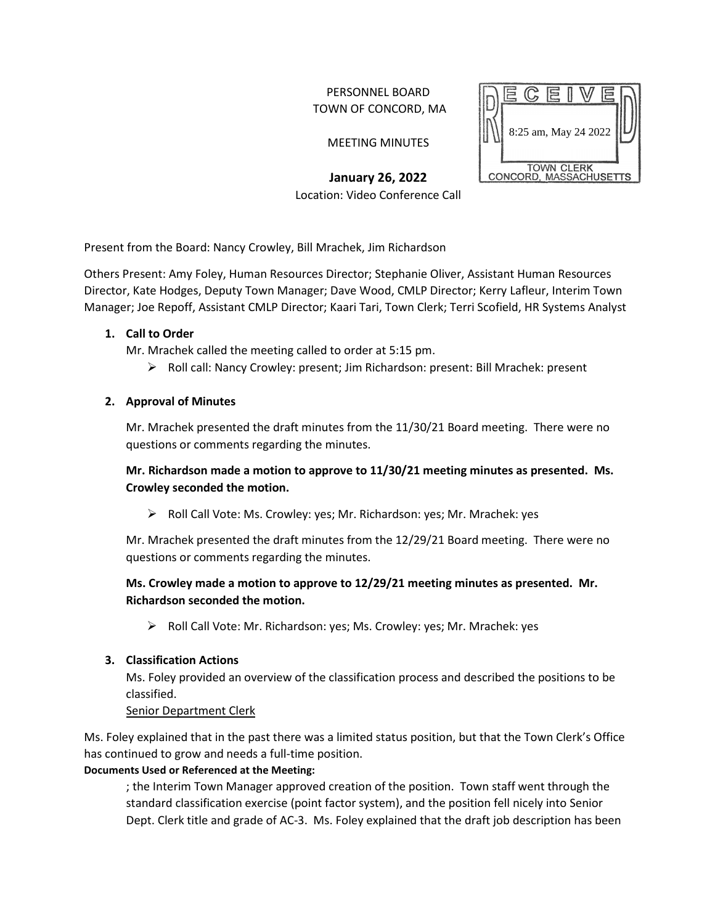## PERSONNEL BOARD TOWN OF CONCORD, MA

MEETING MINUTES

**January 26, 2022** Location: Video Conference Call



Present from the Board: Nancy Crowley, Bill Mrachek, Jim Richardson

Others Present: Amy Foley, Human Resources Director; Stephanie Oliver, Assistant Human Resources Director, Kate Hodges, Deputy Town Manager; Dave Wood, CMLP Director; Kerry Lafleur, Interim Town Manager; Joe Repoff, Assistant CMLP Director; Kaari Tari, Town Clerk; Terri Scofield, HR Systems Analyst

### **1. Call to Order**

Mr. Mrachek called the meeting called to order at 5:15 pm.

 $\triangleright$  Roll call: Nancy Crowley: present; Jim Richardson: present: Bill Mrachek: present

### **2. Approval of Minutes**

Mr. Mrachek presented the draft minutes from the 11/30/21 Board meeting. There were no questions or comments regarding the minutes.

# **Mr. Richardson made a motion to approve to 11/30/21 meeting minutes as presented. Ms. Crowley seconded the motion.**

Roll Call Vote: Ms. Crowley: yes; Mr. Richardson: yes; Mr. Mrachek: yes

Mr. Mrachek presented the draft minutes from the 12/29/21 Board meeting. There were no questions or comments regarding the minutes.

# **Ms. Crowley made a motion to approve to 12/29/21 meeting minutes as presented. Mr. Richardson seconded the motion.**

Roll Call Vote: Mr. Richardson: yes; Ms. Crowley: yes; Mr. Mrachek: yes

## **3. Classification Actions**

Ms. Foley provided an overview of the classification process and described the positions to be classified.

Senior Department Clerk

Ms. Foley explained that in the past there was a limited status position, but that the Town Clerk's Office has continued to grow and needs a full-time position.

## **Documents Used or Referenced at the Meeting:**

; the Interim Town Manager approved creation of the position. Town staff went through the standard classification exercise (point factor system), and the position fell nicely into Senior Dept. Clerk title and grade of AC-3. Ms. Foley explained that the draft job description has been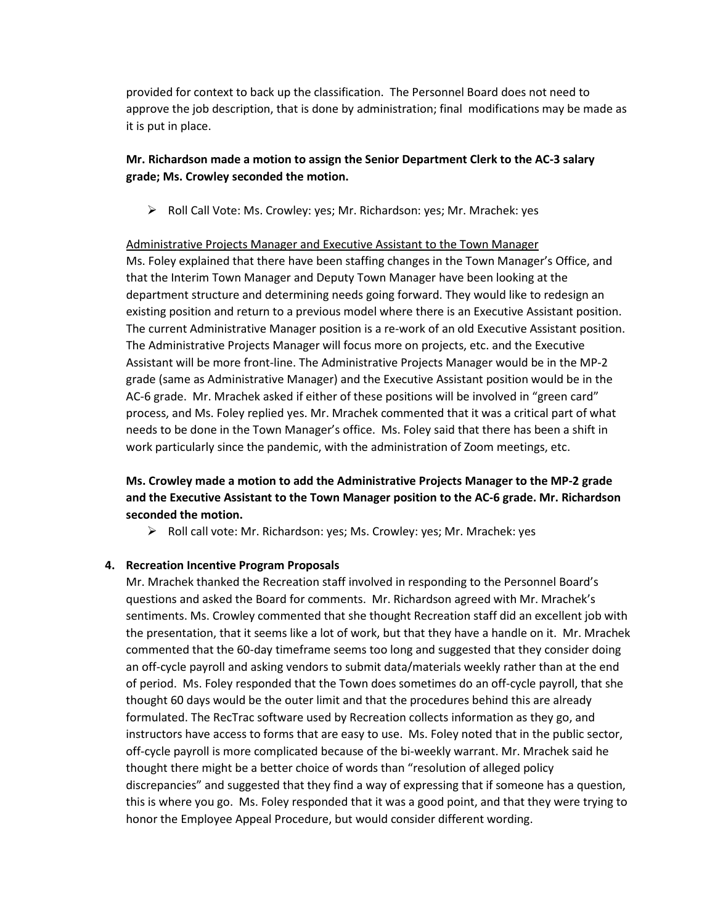provided for context to back up the classification. The Personnel Board does not need to approve the job description, that is done by administration; final modifications may be made as it is put in place.

## **Mr. Richardson made a motion to assign the Senior Department Clerk to the AC-3 salary grade; Ms. Crowley seconded the motion.**

Roll Call Vote: Ms. Crowley: yes; Mr. Richardson: yes; Mr. Mrachek: yes

Administrative Projects Manager and Executive Assistant to the Town Manager Ms. Foley explained that there have been staffing changes in the Town Manager's Office, and that the Interim Town Manager and Deputy Town Manager have been looking at the department structure and determining needs going forward. They would like to redesign an existing position and return to a previous model where there is an Executive Assistant position. The current Administrative Manager position is a re-work of an old Executive Assistant position. The Administrative Projects Manager will focus more on projects, etc. and the Executive Assistant will be more front-line. The Administrative Projects Manager would be in the MP-2 grade (same as Administrative Manager) and the Executive Assistant position would be in the AC-6 grade. Mr. Mrachek asked if either of these positions will be involved in "green card" process, and Ms. Foley replied yes. Mr. Mrachek commented that it was a critical part of what needs to be done in the Town Manager's office. Ms. Foley said that there has been a shift in work particularly since the pandemic, with the administration of Zoom meetings, etc.

# **Ms. Crowley made a motion to add the Administrative Projects Manager to the MP-2 grade and the Executive Assistant to the Town Manager position to the AC-6 grade. Mr. Richardson seconded the motion.**

Roll call vote: Mr. Richardson: yes; Ms. Crowley: yes; Mr. Mrachek: yes

#### **4. Recreation Incentive Program Proposals**

Mr. Mrachek thanked the Recreation staff involved in responding to the Personnel Board's questions and asked the Board for comments. Mr. Richardson agreed with Mr. Mrachek's sentiments. Ms. Crowley commented that she thought Recreation staff did an excellent job with the presentation, that it seems like a lot of work, but that they have a handle on it. Mr. Mrachek commented that the 60-day timeframe seems too long and suggested that they consider doing an off-cycle payroll and asking vendors to submit data/materials weekly rather than at the end of period. Ms. Foley responded that the Town does sometimes do an off-cycle payroll, that she thought 60 days would be the outer limit and that the procedures behind this are already formulated. The RecTrac software used by Recreation collects information as they go, and instructors have access to forms that are easy to use. Ms. Foley noted that in the public sector, off-cycle payroll is more complicated because of the bi-weekly warrant. Mr. Mrachek said he thought there might be a better choice of words than "resolution of alleged policy discrepancies" and suggested that they find a way of expressing that if someone has a question, this is where you go. Ms. Foley responded that it was a good point, and that they were trying to honor the Employee Appeal Procedure, but would consider different wording.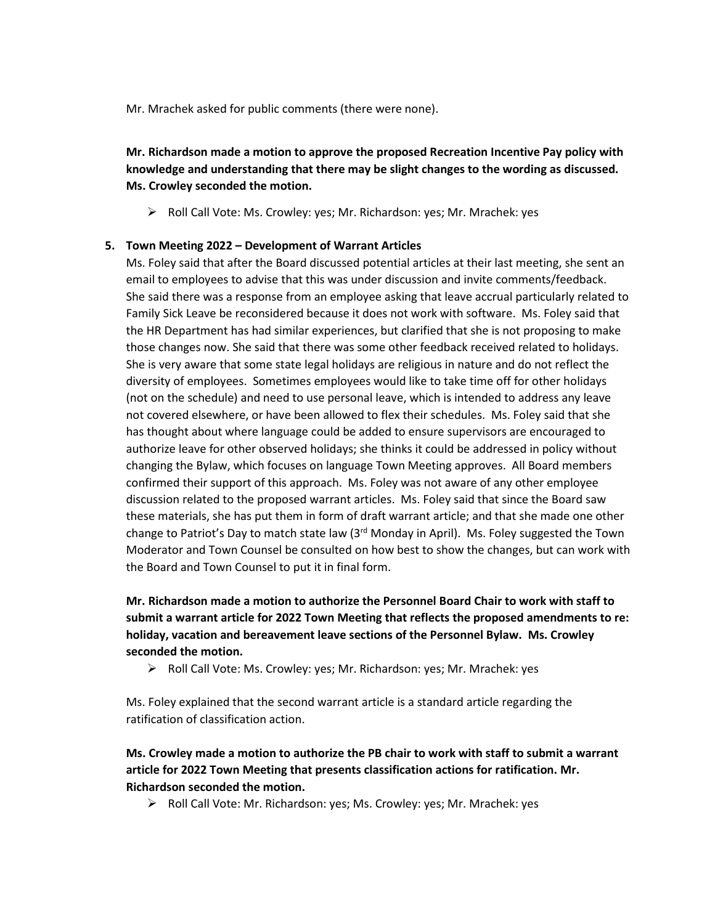Mr. Mrachek asked for public comments (there were none).

**Mr. Richardson made a motion to approve the proposed Recreation Incentive Pay policy with knowledge and understanding that there may be slight changes to the wording as discussed. Ms. Crowley seconded the motion.**

Roll Call Vote: Ms. Crowley: yes; Mr. Richardson: yes; Mr. Mrachek: yes

#### **5. Town Meeting 2022 – Development of Warrant Articles**

Ms. Foley said that after the Board discussed potential articles at their last meeting, she sent an email to employees to advise that this was under discussion and invite comments/feedback. She said there was a response from an employee asking that leave accrual particularly related to Family Sick Leave be reconsidered because it does not work with software. Ms. Foley said that the HR Department has had similar experiences, but clarified that she is not proposing to make those changes now. She said that there was some other feedback received related to holidays. She is very aware that some state legal holidays are religious in nature and do not reflect the diversity of employees. Sometimes employees would like to take time off for other holidays (not on the schedule) and need to use personal leave, which is intended to address any leave not covered elsewhere, or have been allowed to flex their schedules. Ms. Foley said that she has thought about where language could be added to ensure supervisors are encouraged to authorize leave for other observed holidays; she thinks it could be addressed in policy without changing the Bylaw, which focuses on language Town Meeting approves. All Board members confirmed their support of this approach. Ms. Foley was not aware of any other employee discussion related to the proposed warrant articles. Ms. Foley said that since the Board saw these materials, she has put them in form of draft warrant article; and that she made one other change to Patriot's Day to match state law  $(3<sup>rd</sup>$  Monday in April). Ms. Foley suggested the Town Moderator and Town Counsel be consulted on how best to show the changes, but can work with the Board and Town Counsel to put it in final form.

**Mr. Richardson made a motion to authorize the Personnel Board Chair to work with staff to submit a warrant article for 2022 Town Meeting that reflects the proposed amendments to re: holiday, vacation and bereavement leave sections of the Personnel Bylaw. Ms. Crowley seconded the motion.**

Roll Call Vote: Ms. Crowley: yes; Mr. Richardson: yes; Mr. Mrachek: yes

Ms. Foley explained that the second warrant article is a standard article regarding the ratification of classification action.

# **Ms. Crowley made a motion to authorize the PB chair to work with staff to submit a warrant article for 2022 Town Meeting that presents classification actions for ratification. Mr. Richardson seconded the motion.**

Roll Call Vote: Mr. Richardson: yes; Ms. Crowley: yes; Mr. Mrachek: yes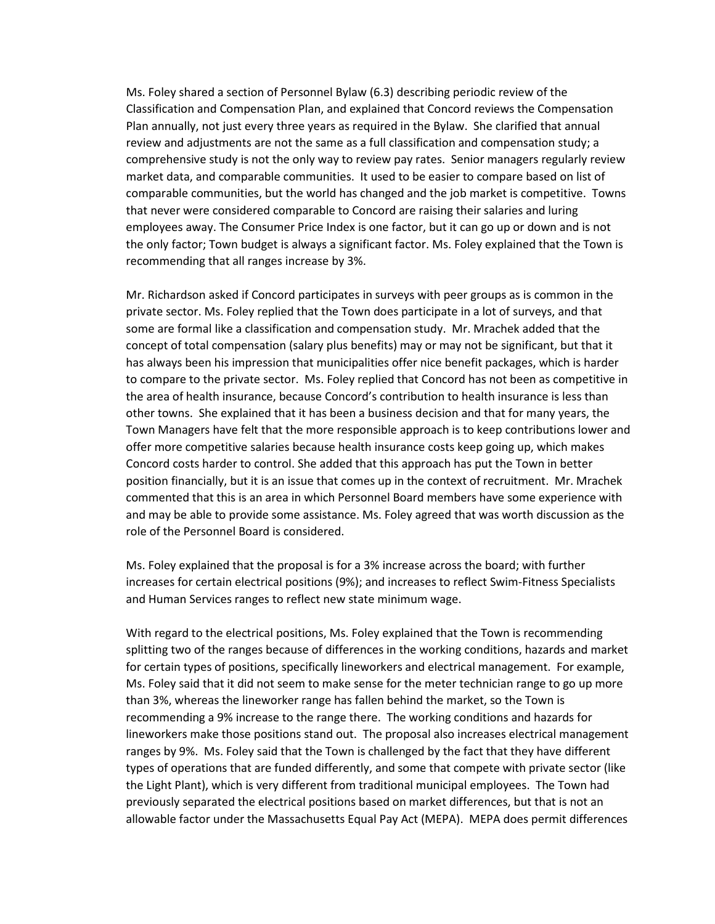Ms. Foley shared a section of Personnel Bylaw (6.3) describing periodic review of the Classification and Compensation Plan, and explained that Concord reviews the Compensation Plan annually, not just every three years as required in the Bylaw. She clarified that annual review and adjustments are not the same as a full classification and compensation study; a comprehensive study is not the only way to review pay rates. Senior managers regularly review market data, and comparable communities. It used to be easier to compare based on list of comparable communities, but the world has changed and the job market is competitive. Towns that never were considered comparable to Concord are raising their salaries and luring employees away. The Consumer Price Index is one factor, but it can go up or down and is not the only factor; Town budget is always a significant factor. Ms. Foley explained that the Town is recommending that all ranges increase by 3%.

Mr. Richardson asked if Concord participates in surveys with peer groups as is common in the private sector. Ms. Foley replied that the Town does participate in a lot of surveys, and that some are formal like a classification and compensation study. Mr. Mrachek added that the concept of total compensation (salary plus benefits) may or may not be significant, but that it has always been his impression that municipalities offer nice benefit packages, which is harder to compare to the private sector. Ms. Foley replied that Concord has not been as competitive in the area of health insurance, because Concord's contribution to health insurance is less than other towns. She explained that it has been a business decision and that for many years, the Town Managers have felt that the more responsible approach is to keep contributions lower and offer more competitive salaries because health insurance costs keep going up, which makes Concord costs harder to control. She added that this approach has put the Town in better position financially, but it is an issue that comes up in the context of recruitment. Mr. Mrachek commented that this is an area in which Personnel Board members have some experience with and may be able to provide some assistance. Ms. Foley agreed that was worth discussion as the role of the Personnel Board is considered.

Ms. Foley explained that the proposal is for a 3% increase across the board; with further increases for certain electrical positions (9%); and increases to reflect Swim-Fitness Specialists and Human Services ranges to reflect new state minimum wage.

With regard to the electrical positions, Ms. Foley explained that the Town is recommending splitting two of the ranges because of differences in the working conditions, hazards and market for certain types of positions, specifically lineworkers and electrical management. For example, Ms. Foley said that it did not seem to make sense for the meter technician range to go up more than 3%, whereas the lineworker range has fallen behind the market, so the Town is recommending a 9% increase to the range there. The working conditions and hazards for lineworkers make those positions stand out. The proposal also increases electrical management ranges by 9%. Ms. Foley said that the Town is challenged by the fact that they have different types of operations that are funded differently, and some that compete with private sector (like the Light Plant), which is very different from traditional municipal employees. The Town had previously separated the electrical positions based on market differences, but that is not an allowable factor under the Massachusetts Equal Pay Act (MEPA). MEPA does permit differences